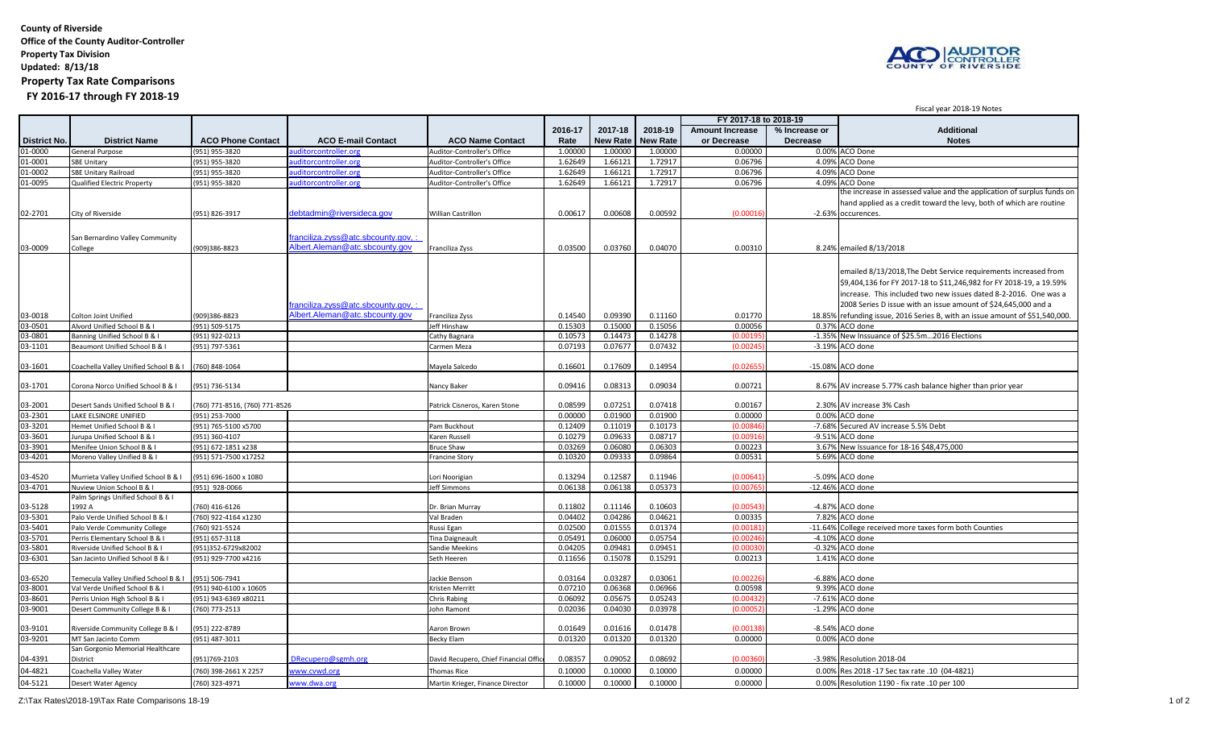**County of Riverside Office of the County Auditor-Controller Property Tax Division Updated: 8/13/18 Property Tax Rate Comparisons FY 2016-17 through FY 2018-19**



Fiscal year 2018-19 Notes

|                     |                                        |                               |                                  |                                       |         |                 |                 |                        |                 | i israi keal koto-ta ikolesi                                                |
|---------------------|----------------------------------------|-------------------------------|----------------------------------|---------------------------------------|---------|-----------------|-----------------|------------------------|-----------------|-----------------------------------------------------------------------------|
|                     |                                        |                               |                                  |                                       |         |                 |                 | FY 2017-18 to 2018-19  |                 |                                                                             |
|                     |                                        |                               |                                  |                                       | 2016-17 | 2017-18         | 2018-19         | <b>Amount Increase</b> | % Increase or   | <b>Additional</b>                                                           |
| <b>District No.</b> | <b>District Name</b>                   | <b>ACO Phone Contact</b>      | <b>ACO E-mail Contact</b>        | <b>ACO Name Contact</b>               | Rate    | <b>New Rate</b> | <b>New Rate</b> | or Decrease            | <b>Decrease</b> | <b>Notes</b>                                                                |
| 01-0000             | General Purpose                        | 951) 955-3820                 | uditorcontroller.org             | Auditor-Controller's Office           | 1.00000 | 1.00000         | 1.00000         | 0.00000                |                 | 0.00% ACO Done                                                              |
| 01-0001             | <b>SBE Unitary</b>                     | (951) 955-3820                | uditorcontroller.org             | Auditor-Controller's Office           | 1.62649 | 1.66121         | 1.72917         | 0.06796                | 4.09%           | <b>ACO Done</b>                                                             |
| 01-0002             | SBE Unitary Railroad                   | 951) 955-3820                 | uditorcontroller.org             | Auditor-Controller's Office           | 1.62649 | 1.66121         | 1.72917         | 0.06796                |                 | 4.09% ACO Done                                                              |
| 01-0095             | Qualified Electric Property            | 951) 955-3820                 | uditorcontroller.org             | Auditor-Controller's Office           | 1.62649 | 1.66121         | 1.72917         | 0.06796                |                 | 4.09% ACO Done                                                              |
|                     |                                        |                               |                                  |                                       |         |                 |                 |                        |                 | the increase in assessed value and the application of surplus funds on      |
|                     |                                        |                               |                                  |                                       |         |                 |                 |                        |                 | hand applied as a credit toward the levy, both of which are routine         |
| 02-2701             | City of Riverside                      | 951) 826-3917                 | lebtadmin@riversideca.gov        | Willian Castrillon                    | 0.00617 | 0.00608         | 0.00592         | (0.0001)               |                 | -2.63% occurences.                                                          |
|                     |                                        |                               |                                  |                                       |         |                 |                 |                        |                 |                                                                             |
|                     |                                        |                               |                                  |                                       |         |                 |                 |                        |                 |                                                                             |
|                     | San Bernardino Valley Community        |                               | ranciliza.zyss@atc.sbcounty.gov, |                                       |         |                 |                 |                        |                 |                                                                             |
| 03-0009             | College                                | (909)386-8823                 | Albert. Aleman@atc.sbcounty.gov  | Franciliza Zyss                       | 0.03500 | 0.03760         | 0.04070         | 0.00310                |                 | 8.24% emailed 8/13/2018                                                     |
|                     |                                        |                               |                                  |                                       |         |                 |                 |                        |                 |                                                                             |
|                     |                                        |                               |                                  |                                       |         |                 |                 |                        |                 | emailed 8/13/2018, The Debt Service requirements increased from             |
|                     |                                        |                               |                                  |                                       |         |                 |                 |                        |                 | \$9,404,136 for FY 2017-18 to \$11,246,982 for FY 2018-19, a 19.59%         |
|                     |                                        |                               |                                  |                                       |         |                 |                 |                        |                 | increase. This included two new issues dated 8-2-2016. One was a            |
|                     |                                        |                               |                                  |                                       |         |                 |                 |                        |                 |                                                                             |
|                     |                                        |                               | ranciliza.zyss@atc.sbcounty.gov. |                                       |         |                 |                 |                        |                 | 2008 Series D issue with an issue amount of \$24,645,000 and a              |
| 03-0018             | Colton Joint Unified                   | (909)386-8823                 | Nbert. Aleman@atc.sbcounty.gov   | Franciliza Zyss                       | 0.14540 | 0.09390         | 0.11160         | 0.01770                |                 | 18.85% refunding issue, 2016 Series B, with an issue amount of \$51,540,000 |
| 03-0501             | Alvord Unified School B & I            | 951) 509-5175                 |                                  | Jeff Hinshaw                          | 0.15303 | 0.15000         | 0.15056         | 0.00056                |                 | 0.37% ACO done                                                              |
| 03-0801             | Banning Unified School B & I           | (951) 922-0213                |                                  | Cathy Bagnara                         | 0.10573 | 0.14473         | 0.14278         | (0.0019                | $-1.35%$        | New Inssuance of \$25.5m2016 Elections                                      |
| 03-1101             | Beaumont Unified School B & I          | (951) 797-5361                |                                  | Carmen Meza                           | 0.07193 | 0.07677         | 0.07432         | (0.0024)               |                 | -3.19% ACO done                                                             |
|                     |                                        |                               |                                  |                                       |         |                 |                 |                        |                 |                                                                             |
| 03-1601             | Coachella Valley Unified School B & I  | 760) 848-1064                 |                                  | Mayela Salcedo                        | 0.16601 | 0.17609         | 0.14954         | (0.0265)               |                 | -15.08% ACO done                                                            |
|                     |                                        |                               |                                  |                                       |         |                 |                 |                        |                 |                                                                             |
| 03-1701             | Corona Norco Unified School B & I      | (951) 736-5134                |                                  | Nancy Baker                           | 0.09416 | 0.08313         | 0.09034         | 0.00721                |                 | 8.67% AV increase 5.77% cash balance higher than prior year                 |
|                     |                                        |                               |                                  |                                       |         |                 |                 |                        |                 |                                                                             |
| 03-2001             | Desert Sands Unified School B & I      | 760) 771-8516, (760) 771-8526 |                                  | Patrick Cisneros, Karen Stone         | 0.08599 | 0.07251         | 0.07418         | 0.00167                |                 | 2.30% AV increase 3% Cash                                                   |
| 03-2301             | LAKE ELSINORE UNIFIED                  | (951) 253-7000                |                                  |                                       | 0.00000 | 0.01900         | 0.01900         | 0.00000                |                 | 0.00% ACO done                                                              |
| 03-3201             | Hemet Unified School B & I             | 951) 765-5100 x5700           |                                  | Pam Buckhout                          | 0.12409 | 0.11019         | 0.10173         | (0.0084)               |                 | -7.68% Secured AV increase 5.5% Debt                                        |
| 03-3601             | <b>Jurupa Unified School B &amp; I</b> | 951) 360-4107                 |                                  | Karen Russell                         | 0.10279 | 0.09633         | 0.08717         | (0.0091)               |                 | -9.51% ACO done                                                             |
| 03-3901             | Menifee Union School B & I             | (951) 672-1851 x238           |                                  | <b>Bruce Shaw</b>                     | 0.03269 | 0.06080         | 0.06303         | 0.00223                |                 | 3.67% New Issuance for 18-16 \$48,475,000                                   |
| 03-4201             | Moreno Valley Unified B & I            | 951) 571-7500 x17252          |                                  | <b>Francine Story</b>                 | 0.10320 | 0.09333         | 0.09864         | 0.00531                |                 | 5.69% ACO done                                                              |
|                     |                                        |                               |                                  |                                       |         |                 |                 |                        |                 |                                                                             |
| 03-4520             | Murrieta Valley Unified School B & I   | (951) 696-1600 x 1080         |                                  | Lori Noorigian                        | 0.13294 | 0.12587         | 0.11946         | (0.0064)               |                 | -5.09% ACO done                                                             |
| 03-4701             | Nuview Union School B & I              | 951) 928-0066                 |                                  | Jeff Simmons                          | 0.06138 | 0.06138         | 0.05373         | (0.0076)               |                 | -12.46% ACO done                                                            |
|                     | Palm Springs Unified School B & I      |                               |                                  |                                       |         |                 |                 |                        |                 |                                                                             |
| 03-5128             | 1992 A                                 | 760) 416-6126                 |                                  | Dr. Brian Murray                      | 0.11802 | 0.11146         | 0.10603         | (0.0054)               |                 | -4.87% ACO done                                                             |
| 03-5301             | Palo Verde Unified School B & I        | 760) 922-4164 x1230           |                                  | Val Braden                            | 0.04402 | 0.04286         | 0.04621         | 0.00335                | 7.82%           | ACO done                                                                    |
| 03-5401             | Palo Verde Community College           | 760) 921-5524                 |                                  | Russi Egan                            | 0.02500 | 0.01555         | 0.01374         | (0.0018)               |                 | -11.64% College received more taxes form both Counties                      |
| 03-5701             | Perris Elementary School B & I         | (951) 657-3118                |                                  | Tina Daigneault                       | 0.05491 | 0.06000         | 0.05754         | (0.0024)               |                 | -4.10% ACO done                                                             |
| 03-5801             | Riverside Unified School B & I         | 951)352-6729x82002            |                                  | Sandie Meekins                        | 0.04205 | 0.09481         | 0.09451         | (0.0003)               | $-0.32%$        | ACO done                                                                    |
| 03-6301             | San Jacinto Unified School B &         | 951) 929-7700 x4216           |                                  | Seth Heeren                           | 0.11656 | 0.15078         | 0.15291         | 0.00213                |                 | 1.41% ACO done                                                              |
|                     |                                        |                               |                                  |                                       |         |                 |                 |                        |                 |                                                                             |
| 03-6520             | Temecula Valley Unified School B & I   | (951) 506-7941                |                                  | Jackie Benson                         | 0.03164 | 0.03287         | 0.03061         | (0.00226               |                 | -6.88% ACO done                                                             |
| 03-8001             | Val Verde Unified School B & I         | (951) 940-6100 x 10605        |                                  | Kristen Merritt                       | 0.07210 | 0.06368         | 0.06966         | 0.00598                |                 | 9.39% ACO done                                                              |
| 03-8601             | Perris Union High School B & I         | 951) 943-6369 x80211          |                                  | <b>Chris Rabing</b>                   | 0.06092 | 0.05675         | 0.05243         | (0.004)                | $-7.61%$        | ACO done                                                                    |
| 03-9001             | Desert Community College B & I         | 760) 773-2513                 |                                  | John Ramont                           | 0.02036 | 0.04030         | 0.03978         | (0.0005                |                 | -1.29% ACO done                                                             |
|                     |                                        |                               |                                  |                                       |         |                 |                 |                        |                 |                                                                             |
| 03-9101             | Riverside Community College B & I      | (951) 222-8789                |                                  | Aaron Brown                           | 0.01649 | 0.01616         | 0.01478         | (0.0013)               |                 | -8.54% ACO done                                                             |
| 03-9201             | MT San Jacinto Comm                    | (951) 487-3011                |                                  | Becky Elam                            | 0.01320 | 0.01320         | 0.01320         | 0.00000                |                 | 0.00% ACO done                                                              |
|                     | San Gorgonio Memorial Healthcare       |                               |                                  |                                       |         |                 |                 |                        |                 |                                                                             |
| 04-4391             | District                               | (951)769-2103                 | DRecupero@sgmh.org               | David Recupero, Chief Financial Offic | 0.08357 | 0.09052         | 0.08692         | (0.00360)              |                 | -3.98% Resolution 2018-04                                                   |
|                     |                                        |                               |                                  |                                       |         |                 |                 |                        |                 |                                                                             |
| 04-4821             | Coachella Valley Water                 | 760) 398-2661 X 2257          | vww.cvwd.org                     | Thomas Rice                           | 0.10000 | 0.10000         | 0.10000         | 0.00000                |                 | 0.00% Res 2018 -17 Sec tax rate .10 (04-4821)                               |
| 04-5121             | <b>Desert Water Agency</b>             | (760) 323-4971                | www.dwa.org                      | Martin Krieger, Finance Director      | 0.10000 | 0.10000         | 0.10000         | 0.00000                |                 | 0.00% Resolution 1190 - fix rate .10 per 100                                |